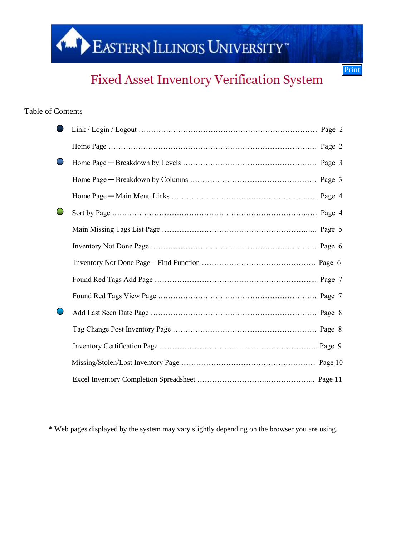# EASTERN ILLINOIS UNIVERSITY

# Fixed Asset Inventory Verification System

Print

# Table of Contents

\* Web pages displayed by the system may vary slightly depending on the browser you are using.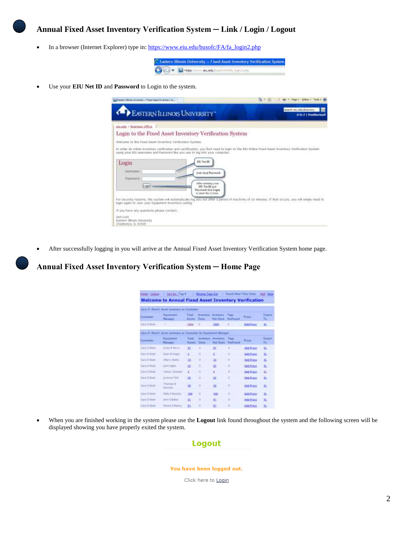# **Annual Fixed Asset Inventory Verification System ─ Link / Login / Logout**

• In a browser (Internet Explorer) type in[: https://www.eiu.edu/busofc/FA/fa\\_login2.php](https://www.eiu.edu/busofc/FA/fa_login2.php)



Use your **EIU Net ID** and **Password** to Login to the system.

| EditTestern Shops University (1 Flood Appel Divertime Te.                                                                                                                                                                       | happ + Earlety + Tools +                                                                                                                          |
|---------------------------------------------------------------------------------------------------------------------------------------------------------------------------------------------------------------------------------|---------------------------------------------------------------------------------------------------------------------------------------------------|
| EASTERN ILLINOIS UNIVERSITY"                                                                                                                                                                                                    | sauch as adultisetory<br>A to Z   Parthermail                                                                                                     |
| esuadu - Rusiness Office                                                                                                                                                                                                        |                                                                                                                                                   |
| Login to the Fixed Asset Inventory Verification System                                                                                                                                                                          |                                                                                                                                                   |
| Welcome to the Ford Asset Invertory Verification System.                                                                                                                                                                        |                                                                                                                                                   |
| In order do online inventory verification and cartification, you first need to login to the EIX Online Fixed Asest Divertory Verification System<br>uang your Etti usamane and Paceword like you use to log into your computer. |                                                                                                                                                   |
| EIL Not ID<br>Login                                                                                                                                                                                                             |                                                                                                                                                   |
| <b>JANUTIACHE</b><br>Information Partnered                                                                                                                                                                                      |                                                                                                                                                   |
| <b>Passwitt</b>                                                                                                                                                                                                                 |                                                                                                                                                   |
| After entering your<br>Login<br><b>TIU Net ID and</b><br>Password (Sck Login)<br>to were the system.                                                                                                                            |                                                                                                                                                   |
| login again to view your Equipment Inventory Listing.                                                                                                                                                                           | For security reasons, the system will automatically log you out after a paned of inactivity of 15 minutes. If that occurs, you will smply need to |
| If you have any questions please contact:                                                                                                                                                                                       |                                                                                                                                                   |
| Joni Lutz<br>Eastern Illinos University<br>Charleston, E. 61920                                                                                                                                                                 |                                                                                                                                                   |

After successfully logging in you will arrive at the Annual Fixed Asset Inventory Verification System home page.

# **Annual Fixed Asset Inventory Verification System ─ Home Page**

| Horve   Lincoln     | Son by Fire #                                                  |                               | Muarn Ten list                |                               |                    | Front West TAGs Gales. Add View |               |
|---------------------|----------------------------------------------------------------|-------------------------------|-------------------------------|-------------------------------|--------------------|---------------------------------|---------------|
|                     | <b>Welcome to Annual Fixed Asset Inventory Verification</b>    |                               |                               |                               |                    |                                 |               |
|                     | Carl II, Rend's Brow sammary as Cattorian                      |                               |                               |                               |                    |                                 |               |
| Custombasi          | Equipment<br><b>Mariager</b>                                   | Tanal<br>Austra               | <b>Inventory</b><br>Down.     | <b>INVESTIGAN</b><br>New Dees | Taur<br>Mastrocent | <b>High</b>                     | Express<br>Te |
| <b>Gasy O'Beed</b>  |                                                                | 1884                          | חו                            | 1881                          | .                  | Add Writer                      | ×.            |
|                     | Care II Rent's during summary an Customan by Equipment Hanager |                               |                               |                               |                    |                                 |               |
| Castrofaco          | Euclidate<br>Manager                                           | <b>Total</b><br><b>Arantz</b> | <b>Manager</b><br><b>Doné</b> | byentory<br>Not Days          | Tags.<br>Northund  | <b>Mission</b>                  | Expose<br>Tu- |
| <b>CMV IT Resid</b> | <b>Juliet Pretto</b>                                           | ш                             | ٠                             | ш                             | ٠                  | Add French                      | m.            |
| <b>GAN O Reed</b>   | <b>Ryan W Segar</b>                                            | z                             | ٠                             | r                             | ٠                  | <b>AACRIVES</b>                 | XL.           |
| Gary D East         | Allert Literin                                                 | 34                            | $\overline{\mathbf{u}}$       | 14                            | ×                  | <b>Add Provy</b>                | 25.           |
| <b>Cary O Based</b> | <b>Lokic Stoker</b>                                            | 韭                             | n                             | 韯                             | s                  | <b>Add from</b>                 | 监             |
| <b>Grand Read</b>   | Carris a resoluti                                              | 4                             | $\blacksquare$                | £                             | ٠                  | <b>GALFIGNA</b>                 | 孔             |
| Date D-Seart        | <b>Hy Assault Titali</b>                                       | 32                            | ü                             | 42                            | ٠                  | Add Provin                      | òЖ.           |
| Cary D Reni         | <b>Thomas are</b><br><b>Blance MPL</b>                         | 33                            | W                             | 18                            | ٠                  | ABERINA                         | X.            |
| Gasy G'Bessi        | Party 1 Plumpty                                                | 3.6.6                         | ٠                             | 386                           | ٠                  | <b>AALFrenz</b>                 | 盂             |
| <b>Hara O' Raxd</b> | <b>John E Battes</b>                                           | 41                            | и                             | 43                            | ö.                 | Add Provinc                     | 処             |
| Cary O Exiti        | <b>THATT E PERTY</b>                                           | 日                             | ٠                             | 钍                             | ٠                  | <b>Add Press</b>                | XL.           |

 When you are finished working in the system please use the **Logout** link found throughout the system and the following screen will be displayed showing you have properly exited the system.



You have been logged out.

Click here to Login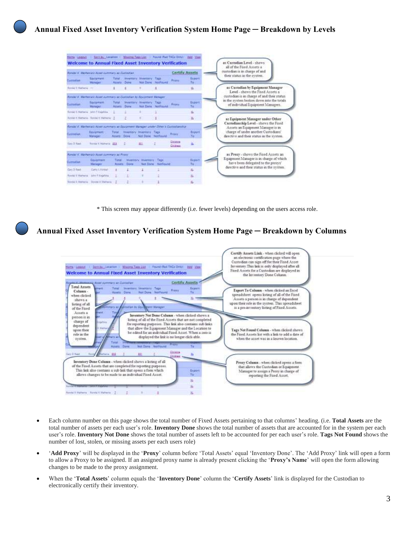|                                      | <b>Rondal X. Mathema's Asset summary as Girladian</b>                                                                         |                         |             |                                                   |                          |                                    | Certify Assets             | custodian is in charge of and<br>their status in the system.                  |                                                                                                                                                                                                    |  |
|--------------------------------------|-------------------------------------------------------------------------------------------------------------------------------|-------------------------|-------------|---------------------------------------------------|--------------------------|------------------------------------|----------------------------|-------------------------------------------------------------------------------|----------------------------------------------------------------------------------------------------------------------------------------------------------------------------------------------------|--|
| Customer                             | Emismant:<br>Manager                                                                                                          | Trist.<br>Accets.       | Done        | thermore breemow, flags                           | Not Denis Authority      | Frank                              | Export<br>$\Sigma_{\rm H}$ |                                                                               |                                                                                                                                                                                                    |  |
| Rendal & Tallania . -                |                                                                                                                               |                         |             | н                                                 |                          |                                    | n.                         | as Custodian by Equipment Manager<br>Level - shows the Food Assets a          |                                                                                                                                                                                                    |  |
|                                      | Constal all Marhensa's Avant aummars as Custodian by Soutoment Manager                                                        |                         |             |                                                   |                          |                                    |                            |                                                                               | custodian is in charge of and their status.                                                                                                                                                        |  |
| Customeran                           | Exciprient:<br>Manager                                                                                                        | Tatal<br><b>Actests</b> | Darie       | breatters Boettery Taxi                           | Nor Deris NotFobiut      | <b>Prickly</b>                     | Export<br>Ta-              |                                                                               | in the system broken down into the totals<br>of individual Equipment Managers.                                                                                                                     |  |
| Roman K. Malmeria  James F. Grandska |                                                                                                                               |                         |             |                                                   |                          |                                    | x.                         |                                                                               |                                                                                                                                                                                                    |  |
|                                      | April 4 Hallwin - Rodal X Hallwin - 2<br>Rondal #: Mathenia's Asset summary at Equipment Manager under Cther's Custodianshur. |                         | Ξ           | и                                                 | $-2 -$                   |                                    | 医                          |                                                                               | as Equipment Manager under Other-<br>Custodianship Level - shows the Fixed<br>Assets an Equipment Manager is in<br>charge of under another Custodinis'<br>denotive and their status in the system. |  |
| Custolian                            | <b>Davidment</b><br><b>Manager</b>                                                                                            | Tutal<br>Ataurá         | Doles.      | Wearners' Sheiringes (Tads)<br>Not Dane Nichhausd |                          | <b>Bronz</b>                       | Export<br>Tu-              |                                                                               |                                                                                                                                                                                                    |  |
| <b>Get 2 Feed.</b>                   | <b>South Church 201</b>                                                                                                       |                         |             | <b>REL</b>                                        |                          | <b>Constant</b><br><b>Citizens</b> |                            |                                                                               |                                                                                                                                                                                                    |  |
|                                      | Komité) (C. Marthenrace Assett summary as Prince                                                                              |                         |             |                                                   |                          |                                    |                            | as Prexy - shows the Fixed Assets an                                          |                                                                                                                                                                                                    |  |
| Currantae                            | Editalizations:<br><b>Manager</b>                                                                                             | Tone<br>Assets          | <b>Done</b> | NUMBER STATISTIC<br>Net Done                      | 17400<br><b>NetFound</b> |                                    | Export<br>Te-              | Equipment Manager is in charge of which<br>have been delegated to the proxyr' |                                                                                                                                                                                                    |  |
| <b>Gan 3 Feed</b>                    | Carly L. Hardwill                                                                                                             | £.                      |             |                                                   |                          |                                    | 氐                          | directive and their status in the system.                                     |                                                                                                                                                                                                    |  |
| <b>Econol &amp; Marketia</b>         | teles F Elajahias                                                                                                             | Ŧ                       |             |                                                   |                          |                                    | в                          |                                                                               |                                                                                                                                                                                                    |  |
|                                      | Royal & Hattens - Roote & Vettera                                                                                             |                         |             |                                                   |                          |                                    |                            |                                                                               |                                                                                                                                                                                                    |  |

\* This screen may appear differently (i.e. fewer levels) depending on the users access role.

### **Annual Fixed Asset Inventory Verification System Home Page ─ Breakdown by Columns**



- Each column number on this page shows the total number of Fixed Assets pertaining to that columns' heading. (i.e. **Total Assets** are the total number of assets per each user's role. **Inventory Done** shows the total number of assets that are accounted for in the system per each user's role. **Inventory Not Done** shows the total number of assets left to be accounted for per each user's role. **Tags Not Found** shows the number of lost, stolen, or missing assets per each users role)
- '**Add Proxy**' will be displayed in the '**Proxy**' column before 'Total Assets' equal 'Inventory Done'. The 'Add Proxy' link will open a form to allow a Proxy to be assigned. If an assigned proxy name is already present clicking the '**Proxy's Name**' will open the form allowing changes to be made to the proxy assignment.
- When the '**Total Assets**' column equals the '**Inventory Done**' column the '**Certify Assets**' link is displayed for the Custodian to electronically certify their inventory.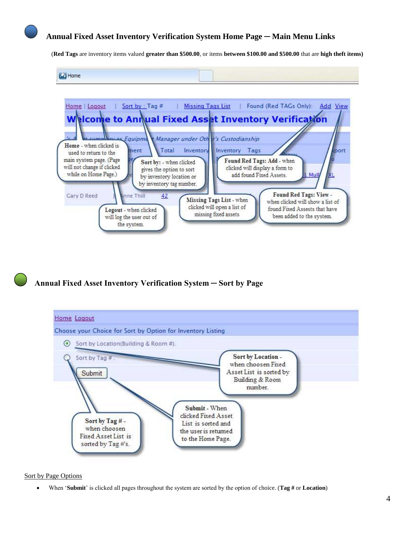(**Red Tags** are inventory items valued **greater than \$500.00**, or items **between \$100.00 and \$500.00** that are **high theft items)**

**Gu** Home | Missing Tags List | Found (Red TAGs Only): Home | Logout Sort by : Tag # **Add View** to Annual Fixed Asset Inventory Verification W con Manager under Oth r's Custodianship Equipme Home - when clicked is Inventory Tags nent Total Inventory port used to return to the main system page. (Page Found Red Tags: Add - when Sort by: - when clicked will not change if clicked clicked will display a form to gives the option to sort while on Home Page.) Mul add found Fixed Assets. by inventory location or by inventory tag number. Found Red Tags: View -**Gary D Reed**  $42$ ne Thill Missing Tags List - when when clicked will show a list of clicked will open a list of found Fixed Assests that have Logout - when clicked missing fixed assets been added to the system. will log the user out of the system.



 **Annual Fixed Asset Inventory Verification System ─ Sort by Page**



Sort by Page Options

When '**Submit**' is clicked all pages throughout the system are sorted by the option of choice. (**Tag #** or **Location**)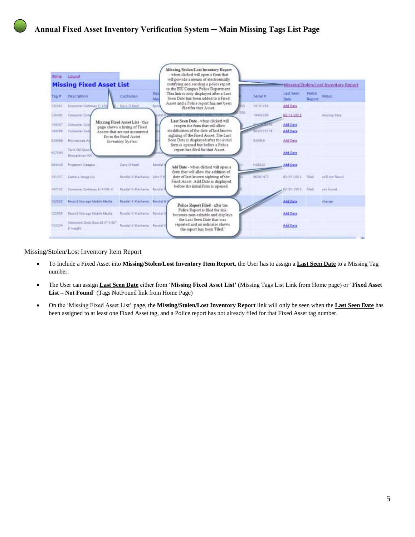|        | <b>Missing Fixed Asset List</b>             |                                                                |            | will provide a means of electronically.<br>certifying and sending a police report.<br>to the EIU Campus Police Department. |            |                   |                         | Missing/Stolen/Lost Inventory Report |
|--------|---------------------------------------------|----------------------------------------------------------------|------------|----------------------------------------------------------------------------------------------------------------------------|------------|-------------------|-------------------------|--------------------------------------|
| Tag #  | <b>Description</b>                          | Custodian.                                                     | Egd<br>Mar | This link is only displayed after a Last<br>Seen Date has been added to a Ford                                             | Serial #   | Last Seen<br>Date | Police<br><b>Report</b> | Notes:                               |
| 135561 | Computer Cateway E-420                      | Cary D'Read                                                    | Rond       | Asset and a Police report has not been<br>bo.<br>filed for that Asset.                                                     | 14191656   | Add Date          |                         |                                      |
| 136492 | Computer Cate                               |                                                                | imdal      | 558                                                                                                                        | 18405295   | 08/18/2012        |                         | missing data.                        |
| 149267 | Computer Cats                               | Missing Fixed Asset List-this<br>page shows a listing of Fixed |            | Last Seen Date - when clicked will<br>reopen the form that will allow                                                      |            | Add Date          |                         |                                      |
| 144265 | <b>Computer Cata</b>                        | Assets that are not accounted.                                 |            | modification of the date of last known.<br>sighting of the Fixed Asset. The Last                                           | 0055775178 | <b>Add Date</b>   |                         |                                      |
| 02908€ | Microscope Ad                               | for in the Fixed Asset<br>Inventory System                     |            | Seen Date is displayed after the initial<br>form is opened but before a Police                                             | 330999     | Add Data          |                         |                                      |
| 057590 | Tank Oil Quint<br>Mornglevan 001            |                                                                |            | report has filed for that Asset.<br>--------                                                                               |            | Add Date          |                         |                                      |
| 064438 | <b>Prajactor Opaque</b>                     | Carry D Read                                                   | Randal     | Add Date - when clicked will open a                                                                                        | HITES20    | <b>Add Date</b>   |                         |                                      |
| 101257 | Camera Image Jvc.                           | Rondal K Wathenia Jahn F K                                     |            | form that will allow the addition of<br>date of last known sighting of the<br>Fixed Asset. Add Dute is displayed           | 06061477   | 02/01/2012        | Filad                   | atill out found.                     |
| 47112  | Computer Gateway 5-6100-C                   | Rondal K Mathema Rondal F                                      |            | before the initial form is opened.                                                                                         |            | 02/01/2012        | Filad                   | not found.                           |
| 122553 | Record Storage Mobile Media                 | Rondal K Mathenia : Rondal K J                                 |            | Police Report Filed - after the                                                                                            |            | Add Date          |                         | change                               |
| 122558 | Record Storage Mobile Media                 | Rondal K Mathenia - Rondal K                                   |            | Police Report is filed the link<br>becomes non-editable and displays<br>the Last Seen Date that was                        |            | <b>Add Date</b>   |                         |                                      |
| 121134 | Aluminum Dock Board6 0° X 60°<br>6' starpht | Rondal K Mathenia - Rondal R                                   |            | reported and an indicator shows.<br>the report has been Tiled."                                                            |            | <b>Add Date</b>   |                         |                                      |

#### Missing/Stolen/Lost Inventory Item Report

- To Include a Fixed Asset into **Missing/Stolen/Lost Inventory Item Report**, the User has to assign a **Last Seen Date** to a Missing Tag number.
- The User can assign **Last Seen Date** either from '**Missing Fixed Asset List'** (Missing Tags List Link from Home page) or '**Fixed Asset List – Not Found**' (Tags NotFound link from Home Page)
- On the 'Missing Fixed Asset List' page, the **Missing/Stolen/Lost Inventory Report** link will only be seen when the **Last Seen Date** has been assigned to at least one Fixed Asset tag, and a Police report has not already filed for that Fixed Asset tag number.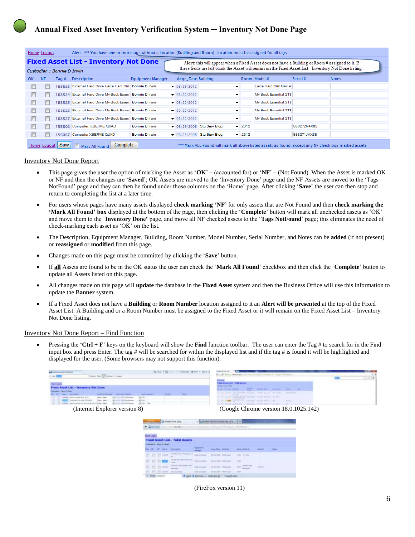# **Annual Fixed Asset Inventory Verification System ─ Inventory Not Done Page**

|    | Home Logout |                           |                                                           | Alert : *** You have one or more tags without a Location (Building and Room), Location must be assigned for all tags. |                    |                                                                                                          |                            |                       |             |              |
|----|-------------|---------------------------|-----------------------------------------------------------|-----------------------------------------------------------------------------------------------------------------------|--------------------|----------------------------------------------------------------------------------------------------------|----------------------------|-----------------------|-------------|--------------|
|    |             |                           | <b>Fixed Asset List - Inventory Not Done</b>              |                                                                                                                       |                    | Alert: this will appear when a Fixed Asset does not have a Building or Room # assigned to it. If         |                            |                       |             |              |
|    |             | Custodian: Bonnie D Irwin |                                                           |                                                                                                                       |                    | these fields are left blank the Asset will remain on the Fixed Asset List - Inventory Not Done listing'. |                            |                       |             |              |
| OK | <b>NF</b>   | Tag #                     | <b>Description</b>                                        | <b>Equipment Manager</b>                                                                                              | Acqn_Date Building |                                                                                                          |                            | Room Model #          | Serial #    | <b>Notes</b> |
|    |             |                           | 163523 External Hard Drive Lacie Hard Disk Bonnie D Irwin |                                                                                                                       | $-103/26/2012$     | $\overline{\phantom{a}}$                                                                                 |                            | Lacie Hard Disk Max 4 |             |              |
|    |             |                           | 163524 External Hard Drive My Book Essen Bonnie D Irwin   |                                                                                                                       | $-03/22/2012$      | ▼                                                                                                        |                            | My Book Essential 2TE |             |              |
|    |             |                           | 163525 External Hard Drive My Book Essen   Bonnie D Irwin |                                                                                                                       | $-03/22/2012$      | ▼                                                                                                        |                            | My Book Essential 2TE |             |              |
|    |             |                           | 163526 External Hard Drive My Book Essen   Bonnie D Irwin |                                                                                                                       | $-103/22/2012$     | ۰                                                                                                        |                            | My Book Essential 2TE |             |              |
|    |             |                           | 163527 External Hard Drive My Book Essen   Bonnie D Irwin |                                                                                                                       | $-03/22/2012$      | $\overline{\phantom{a}}$                                                                                 |                            | My Book Essential 2TE |             |              |
|    |             |                           | 155302 Computer, XSERVE QUAD                              | Bonnie D Irwin                                                                                                        | $-06/25/2008$      | Stu Serv Bldg                                                                                            | $\blacktriangleright$ 2312 |                       | G88272N4X8S |              |
|    |             |                           | 155367 Computer XSERVE QUAD                               | Bonnie D Irwin                                                                                                        | $-06/25/2008$      | Stu Serv Bldg                                                                                            | $\blacktriangleright$ 2312 |                       | G88271JVX8S |              |
|    | Home Logout | Save                      | Complete<br>Mark All Found                                |                                                                                                                       |                    | *** Mark ALL Found will mark all above listed assets as found, except any NF check box marked assets     |                            |                       |             |              |

#### Inventory Not Done Report

- This page gives the user the option of marking the Asset as '**OK**' (accounted for) or '**NF**' (Not Found). When the Asset is marked OK or NF and then the changes are '**Saved**'; OK Assets are moved to the 'Inventory Done' page and the NF Assets are moved to the 'Tags NotFound' page and they can then be found under those columns on the 'Home' page. After clicking '**Save**' the user can then stop and return to completing the list at a later time.
- For users whose pages have many assets displayed **check marking 'NF'** for only assets that are Not Found and then **check marking the 'Mark All Found' box** displayed at the bottom of the page, then clicking the '**Complete**' button will mark all unchecked assets as 'OK' and move them to the '**Inventory Done'** page, and move all NF checked assets to the '**Tags NotFound**' page; this eliminates the need of check-marking each asset as 'OK' on the list.
- The Description, Equipment Manager, Building, Room Number, Model Number, Serial Number, and Notes can be **added** (if not present) or **reassigned** or **modified** from this page.
- Changes made on this page must be committed by clicking the '**Save**' button.
- If **all** Assets are found to be in the OK status the user can check the '**Mark All Found**' checkbox and then click the '**Complete**' button to update all Assets listed on this page.
- All changes made on this page will **update** the database in the **Fixed Asset** system and then the Business Office will use this information to update the B**anner** system.
- If a Fixed Asset does not have a **Building** or **Room Number** location assigned to it an **Alert will be presented** at the top of the Fixed Asset List. A Building and or a Room Number must be assigned to the Fixed Asset or it will remain on the Fixed Asset List – Inventory Not Done listing.

#### Inventory Not Done Report – Find Function

 Pressing the '**Ctrl + F**' keys on the keyboard will show the **Find** function toolbar. The user can enter the Tag # to search for in the Find input box and press Enter. The tag # will be searched for within the displayed list and if the tag # is found it will be highlighted and displayed for the user. (Some browsers may not support this function).

| Scale + Chicago + Joseph Motor<br>U kas keess lads as<br>New fee (France + Least<br><b>A few ages</b>                                                                                                                                                                                                                                                                                                                                                                                              | galaxi standar<br>8-1-8-Erry: New McNeiller and and a further of these common a                                                                                                                                                                                                                                                                                                                                                                                                                                                                                                                                                                                             | <b>APPLICATION</b><br>1015 V.B. |
|----------------------------------------------------------------------------------------------------------------------------------------------------------------------------------------------------------------------------------------------------------------------------------------------------------------------------------------------------------------------------------------------------------------------------------------------------------------------------------------------------|-----------------------------------------------------------------------------------------------------------------------------------------------------------------------------------------------------------------------------------------------------------------------------------------------------------------------------------------------------------------------------------------------------------------------------------------------------------------------------------------------------------------------------------------------------------------------------------------------------------------------------------------------------------------------------|---------------------------------|
| <b>State Labour</b><br>Fixed Asset List - Enventury Not Done<br>mid-A<br>Call - Shortaker<br>-<br><b>Green Model A</b><br>. Terramental page  In plus and channels<br>Lasterda, Departmentando for to all of-<br>Logic Librarian<br>Selection<br>40 country con a 2000 Pages<br><b>BERTHE Three freed four and Considerer</b><br>I disc i liabe<br>40. If you cloud \$44.0 flasce.<br>285, 680<br>Lokato, San Houston by Arts of the United States<br>Michigan control \$500 forces<br>SENIOR ROLL | <b>Service</b><br>Fasal Avent Unit - Total Assets<br>shares away and the control of the con-<br>$\frac{1}{2} \left( \begin{array}{ccc} 0 & 0 & 0 \\ 0 & 0 & 0 \\ 0 & 0 & 0 \\ 0 & 0 & 0 \\ 0 & 0 & 0 \\ 0 & 0 & 0 \\ 0 & 0 & 0 \\ 0 & 0 & 0 \\ 0 & 0 & 0 \\ 0 & 0 & 0 \\ 0 & 0 & 0 \\ 0 & 0 & 0 & 0 \\ 0 & 0 & 0 & 0 \\ 0 & 0 & 0 & 0 \\ 0 & 0 & 0 & 0 & 0 \\ 0 & 0 & 0 & 0 & 0 \\ 0 & 0 & 0 & 0 & 0 \\ 0 & 0 & 0 & 0 & 0 \\ 0 & 0 & 0$<br>2. The Charles state line and a top commer-<br>It is three conditioned bound. Some some, or see.<br>In 1979, and 1979 the company of the first and the transit<br>distant.<br>2. R. S. Ster, Glennill,  Streeth,  4 and  in all. |                                 |
| (Internet Explorer version 8)<br><b>E ELAGUE TOWARY</b><br>+ Union the Construction of this construction and Monte in the Construction of                                                                                                                                                                                                                                                                                                                                                          | (Google Chrome version 18.0.1025.142)<br>$ \frac{1}{2}$ . The best if the sature are set by $2.04 - 0.01$                                                                                                                                                                                                                                                                                                                                                                                                                                                                                                                                                                   |                                 |
| <b>DULL LEWIS</b><br>Fixed Asset List - Total Assets<br>Coldman Line & Real Coldman Line                                                                                                                                                                                                                                                                                                                                                                                                           |                                                                                                                                                                                                                                                                                                                                                                                                                                                                                                                                                                                                                                                                             |                                 |
| In the M. Sea Concession. The Company is seen a second                                                                                                                                                                                                                                                                                                                                                                                                                                             | <b>Book State C</b><br><b>SHOP</b><br><b>Terminal</b>                                                                                                                                                                                                                                                                                                                                                                                                                                                                                                                                                                                                                       |                                 |
| 27 27 27 cent - Contribut Statistic particular                                                                                                                                                                                                                                                                                                                                                                                                                                                     | <b>STELLING ORDINARY</b><br>49.996   \$30.000                                                                                                                                                                                                                                                                                                                                                                                                                                                                                                                                                                                                                               |                                 |
| 21 22 23 now have the first painting of the Children and the Children and<br>25. 25. 25 new Assessment, Lawrence Concert Marsett, Inc.                                                                                                                                                                                                                                                                                                                                                             | main<br>$\frac{1}{2} \left( \frac{1}{2} \right)^{2} \left( \frac{1}{2} \right)^{2} \left( \frac{1}{2} \right)^{2} \left( \frac{1}{2} \right)^{2}$                                                                                                                                                                                                                                                                                                                                                                                                                                                                                                                           |                                 |
| * Pred ISSNT                                                                                                                                                                                                                                                                                                                                                                                                                                                                                       | A lost & Evenue + Highland in  Magnizine                                                                                                                                                                                                                                                                                                                                                                                                                                                                                                                                                                                                                                    |                                 |

(FireFox version 11)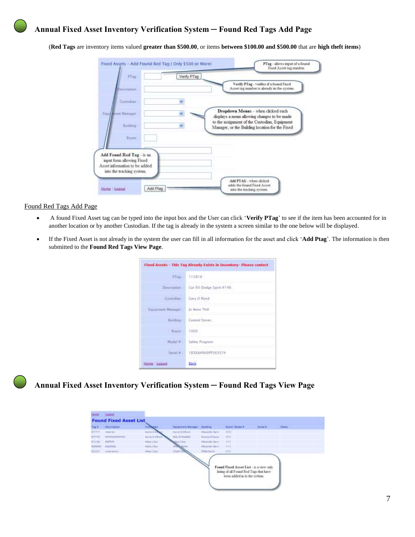(**Red Tags** are inventory items valued **greater than \$500.00**, or items **between \$100.00 and \$500.00** that are **high theft items**)

I

| FTag:                                                                                   | Verify PTag | Fixed Asset tag manber.                                                                          |
|-----------------------------------------------------------------------------------------|-------------|--------------------------------------------------------------------------------------------------|
| <b>Devertoim</b>                                                                        |             | Verify PTag - verifies if a found Fixed<br>Asset tag number is already in the system.            |
| Custodian                                                                               |             |                                                                                                  |
| Equipment Manager                                                                       |             | Dropdown Menus - when clicked each<br>displays a menu allowing changes to be made                |
| fluilding:                                                                              |             | to the assignment of the Custodian, Equipment<br>Manager, or the Building location for the Fixed |
| Room                                                                                    |             |                                                                                                  |
| Add Found Red Tag - is an                                                               |             |                                                                                                  |
| input form allowing Fixed<br>Asset information to be added<br>into the tracking system. |             |                                                                                                  |
|                                                                                         |             | And PTAG - when clicked                                                                          |

Found Red Tags Add Page

- A found Fixed Asset tag can be typed into the input box and the User can click '**Verify PTag**' to see if the item has been accounted for in another location or by another Custodian. If the tag is already in the system a screen similar to the one below will be displayed.
- If the Fixed Asset is not already in the system the user can fill in all information for the asset and click '**Add Ptag**'. The information is then submitted to the **Found Red Tags View Page**.

|                           | Fixed Assets - This Tag Already Exists in Inventory- Please contact |
|---------------------------|---------------------------------------------------------------------|
| Flag:                     | 112816                                                              |
| Description :             | Car 91 Dodge Spon #146                                              |
| Custodian                 | Gary D Reed                                                         |
| Equipment Manager         | In Anne Thill                                                       |
| Building /                | Central Stores                                                      |
| <b>IFM ERILL</b><br>Ragmi | 1000                                                                |
| Model #                   | Sefety Program                                                      |
| Senal # 1                 | <b>STAR</b><br>183XA46K6PF563574                                    |
| Home Loggia               | <b>Sack</b>                                                         |

# **Annual Fixed Asset Inventory Verification System ─ Found Red Tags View Page**

| <b>Ranker E</b><br><b>Barrow &amp; Alliance</b><br><b><i>RUULUROSIS</i></b> | ArmitAtur              | About the Same        | <b>ITTE</b> |  |
|-----------------------------------------------------------------------------|------------------------|-----------------------|-------------|--|
|                                                                             |                        |                       |             |  |
|                                                                             | <b>Billy M Waskett</b> | <b>Bransınd Power</b> | <b>PIZK</b> |  |
| <b>Riseries</b>                                                             | date I fine.           | <b>Simular</b> inco-  | 1111        |  |
| <b>Island Dee</b>                                                           |                        | Massachist Marry      | 1413        |  |
| <b>Arture   Dea-</b>                                                        | $OmtF$ <sup>D</sup>    | TEMP HATEL            | 13.IT       |  |
|                                                                             |                        | <b>Charles</b>        |             |  |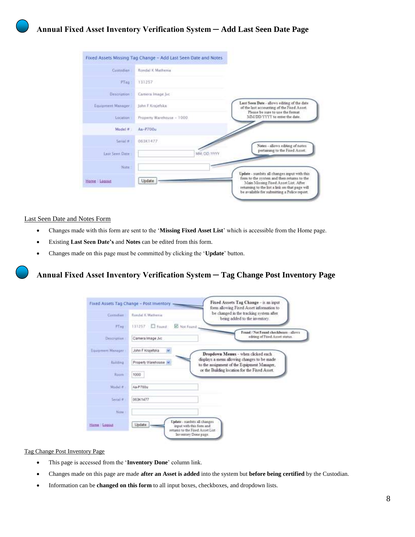# **Annual Fixed Asset Inventory Verification System ─ Add Last Seen Date Page**

| Custodian                                                      | <b>Randal K Mathema</b>   |                                                                                                                                    |
|----------------------------------------------------------------|---------------------------|------------------------------------------------------------------------------------------------------------------------------------|
| FTag:                                                          | 131257                    |                                                                                                                                    |
| Description.                                                   | Camera Image Juc.         |                                                                                                                                    |
| Equipment Manager:                                             | John F Krajefska          | Last Seen Date - allows editing of the date<br>of the last accounting of the Fixed Asset.                                          |
| Liscation                                                      | Property Warehouse - 1000 | Please be sure to use the format<br>MM/DD/YYYY to enter the date.                                                                  |
| Model #                                                        | $A_n - P700u$             |                                                                                                                                    |
| Serral #                                                       | 063K1477                  | Notes - allows editing of notes                                                                                                    |
| Last Senti Doze:                                               | MM/OB/YYYY                | pertaining to the Fixed Asset.                                                                                                     |
| Note:                                                          |                           |                                                                                                                                    |
| <b>Contractor</b><br>Home   Logous<br><b>SALES AND ADDRESS</b> | Update                    | Update - sumbits all changes input with this<br>form to the system and then returns to the<br>Main Missing Fixed Asset List. After |

#### Last Seen Date and Notes Form

- Changes made with this form are sent to the '**Missing Fixed Asset List**' which is accessible from the Home page.
- Existing **Last Seen Date's** and **Notes** can be edited from this form.
- Changes made on this page must be committed by clicking the '**Update**' button.

## **Annual Fixed Asset Inventory Verification System ─ Tag Change Post Inventory Page**

| Cantodian          | Rondal K-Mathenia                   | be changed in the tracking system after<br>being added to the inventory.                   |
|--------------------|-------------------------------------|--------------------------------------------------------------------------------------------|
| PT ag              | 131257 <i>D</i> Found:<br>Not Found | Found / Not Found checkboxes - allows                                                      |
| Description        | Camera Image Jvc                    | editing of Fined Asset status.                                                             |
| Squipment Manager: | John F Krajefska                    | Dropdown Menus - when clicked each                                                         |
| Euriding           | Property Warehouse                  | displays a menu allowing changes to be made<br>to the assignment of the Equipment Manager, |
| Room               | 1000                                | or the Building location for the Fixed Asset.                                              |
| Model #            | 4a-P700u                            |                                                                                            |
|                    | 063K1477                            |                                                                                            |
| Serial # :         |                                     |                                                                                            |

#### Tag Change Post Inventory Page

- This page is accessed from the '**Inventory Done**' column link.
- Changes made on this page are made **after an Asset is added** into the system but **before being certified** by the Custodian.
- Information can be **changed on this form** to all input boxes, checkboxes, and dropdown lists.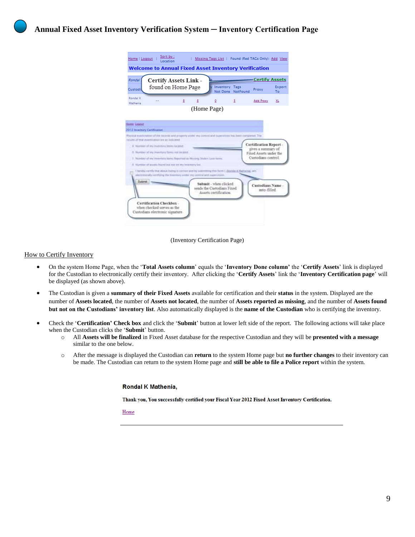| Rondal                     | Certify Assets Link -                                                                                                                                                              |   |             |                                                     |          | <b>Certify Assets</b>                         |              |
|----------------------------|------------------------------------------------------------------------------------------------------------------------------------------------------------------------------------|---|-------------|-----------------------------------------------------|----------|-----------------------------------------------|--------------|
| Custodi                    | found on Home Page                                                                                                                                                                 |   |             | Inventory Tags<br>Not Done                          | NotFound | Proxy                                         | Export<br>To |
| Rondal K<br>Mathenia       |                                                                                                                                                                                    | 8 | 8           | ٥                                                   | 5        | Add Proxy                                     | XL           |
|                            |                                                                                                                                                                                    |   | (Home Page) |                                                     |          |                                               |              |
|                            |                                                                                                                                                                                    |   |             |                                                     |          |                                               |              |
| Hame Loggar                |                                                                                                                                                                                    |   |             |                                                     |          |                                               |              |
| 2012 Inventory Camfication |                                                                                                                                                                                    |   |             |                                                     |          |                                               |              |
|                            |                                                                                                                                                                                    |   |             |                                                     |          |                                               |              |
|                            | Process main ration of the necessit antiumperty visible the contact and cupervision has been compressit. The<br>require of true economics are an indicated                         |   |             |                                                     |          |                                               |              |
|                            | 8. Normber of my myentaty intens knights!                                                                                                                                          |   |             |                                                     |          | <b>Certification Report-</b>                  |              |
|                            | 3. Number of my Pombox Term; rekorcent.                                                                                                                                            |   |             |                                                     |          | gives a nummitry of<br>Fixed Assets under the |              |
|                            | Norwbert of my myermany hims Tepertee as Musing Staten Late Nom-                                                                                                                   |   |             |                                                     |          | Custodians control:                           |              |
|                            | It interests a services to the content of the interest of the                                                                                                                      |   |             |                                                     |          |                                               |              |
|                            | French control that above licenses correct and by submitting this faces ( (Alanda) K Hatta (a), and<br>electronically contilizing the inventory similar my control and assemblate. |   |             |                                                     |          |                                               |              |
| Sutenti:                   |                                                                                                                                                                                    |   |             |                                                     |          |                                               |              |
|                            |                                                                                                                                                                                    |   |             | Sabmit - when clicked<br>sends the Custodians Fixed |          | Custodians Name-<br>auto-filled               |              |

(Inventory Certification Page)

#### How to Certify Inventory

- On the system Home Page, when the '**Total Assets column**' equals the '**Inventory Done column'** the '**Certify Assets**' link is displayed for the Custodian to electronically certify their inventory. After clicking the '**Certify Assets**' link the '**Inventory Certification page**' will be displayed (as shown above).
- The Custodian is given a **summary of their Fixed Assets** available for certification and their **status** in the system. Displayed are the number of **Assets located**, the number of **Assets not located**, the number of **Assets reported as missing**, and the number of **Assets found but not on the Custodians' inventory list**. Also automatically displayed is the **name of the Custodian** who is certifying the inventory.
- Check the '**Certification' Check box** and click the '**Submit**' button at lower left side of the report. The following actions will take place when the Custodian clicks the '**Submit**' button.
	- o All **Assets will be finalized** in Fixed Asset database for the respective Custodian and they will be **presented with a message** similar to the one below.
	- o After the message is displayed the Custodian can **return** to the system Home page but **no further changes** to their inventory can be made. The Custodian can return to the system Home page and **still be able to file a Police report** within the system.

#### **Rondal K Mathenia,**

Thank you, You successfully certified your Fiscal Year 2012 Fixed Asset Inventory Certification.

Home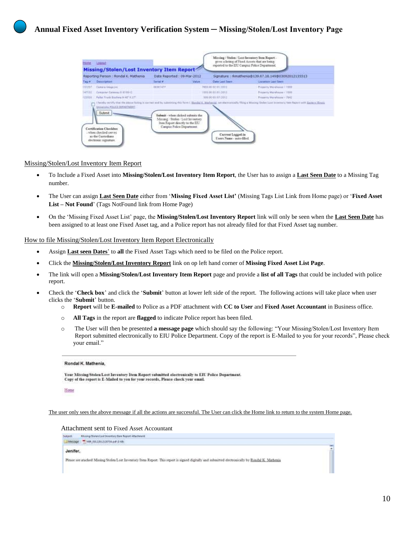|         | Reporting Person : Rondal K. Mathenia                                                                                                   | Date Reported: 09-Mar-2012 |                                                                                                                                   |                                             | Signature: rkmatherea@129.67.18:149@03092012135513 |
|---------|-----------------------------------------------------------------------------------------------------------------------------------------|----------------------------|-----------------------------------------------------------------------------------------------------------------------------------|---------------------------------------------|----------------------------------------------------|
| Tag #   | Distribution                                                                                                                            | Sariat #                   | / Vature                                                                                                                          | Date Lart Seevil                            | <b>Location Last Savit</b>                         |
| 151257  | Camera Image(Inc.)                                                                                                                      | 201011477                  |                                                                                                                                   | 7899.00 02:01/2012                          | Property Warshouse - 1203                          |
| 147102  | Computer Category 6-K199-C                                                                                                              |                            |                                                                                                                                   | 100920-02010                                | Proserry Warehouse - 1988                          |
| 1231351 | Pallet Truck Burbay N 40° 8.17°                                                                                                         |                            |                                                                                                                                   | 100.00-010073012                            | Property/Warehouse - 7645                          |
|         | University PULICE DEPARTMENT:<br>Submit<br>Certification Checkbox<br>-when checked serves<br>as the Costo dama<br>electronic signature. |                            | Sulout - when clocked submits the<br>Missing Stolen Lost Inventory<br>Jurn Report devotly to the ERI<br>Carapus Palice Department | Current Logged In<br>Every Name - suto-dard |                                                    |

#### Missing/Stolen/Lost Inventory Item Report

- To Include a Fixed Asset into **Missing/Stolen/Lost Inventory Item Report**, the User has to assign a **Last Seen Date** to a Missing Tag number.
- The User can assign **Last Seen Date** either from '**Missing Fixed Asset List'** (Missing Tags List Link from Home page) or '**Fixed Asset List – Not Found**' (Tags NotFound link from Home Page)
- On the 'Missing Fixed Asset List' page, the **Missing/Stolen/Lost Inventory Report** link will only be seen when the **Last Seen Date** has been assigned to at least one Fixed Asset tag, and a Police report has not already filed for that Fixed Asset tag number.

How to file Missing/Stolen/Lost Inventory Item Report Electronically

- Assign **Last seen Dates**' to **all** the Fixed Asset Tags which need to be filed on the Police report.
- Click the **Missing/Stolen/Lost Inventory Report** link on op left hand corner of **Missing Fixed Asset List Page**.
- The link will open a **Missing/Stolen/Lost Inventory Item Report** page and provide a **list of all Tags** that could be included with police report.
- Check the '**Check box**' and click the '**Submit**' button at lower left side of the report. The following actions will take place when user clicks the '**Submit**' button.
	- o **Report** will be **E-mailed** to Police as a PDF attachment with **CC to User** and **Fixed Asset Accountant** in Business office.
	- o **All Tags** in the report are **flagged** to indicate Police report has been filed.
	- o The User will then be presented **a message page** which should say the following: "Your Missing/Stolen/Lost Inventory Item Report submitted electronically to EIU Police Department. Copy of the report is E-Mailed to you for your records", Please check your email."

| Rondal K. Mathenia |  |  |  |  |  |  |
|--------------------|--|--|--|--|--|--|
|--------------------|--|--|--|--|--|--|

Your Missing/Stolen/Lost Inventory Item Report submitted electronically to EIU Police Department. Copy of the report is E-Mailed to you for your records, Please check your email

Heme

The user only sees the above message if all the actions are successful. The User can click the Home link to return to the system Home page.

#### Attachment sent to Fixed Asset Accountant

| Submett: | <b>Massey Stolen Last Imeritory Bare Report Attachment</b>                                                                                      |
|----------|-------------------------------------------------------------------------------------------------------------------------------------------------|
|          | I Message " Man out 2012/01/34 pdf (3 kin.                                                                                                      |
| Jenifer. |                                                                                                                                                 |
|          | Please see atached Missing Stolen Low Investory frem Report. This report is signed digitally and submitted electronically by Rondal K. Mathenia |
|          |                                                                                                                                                 |